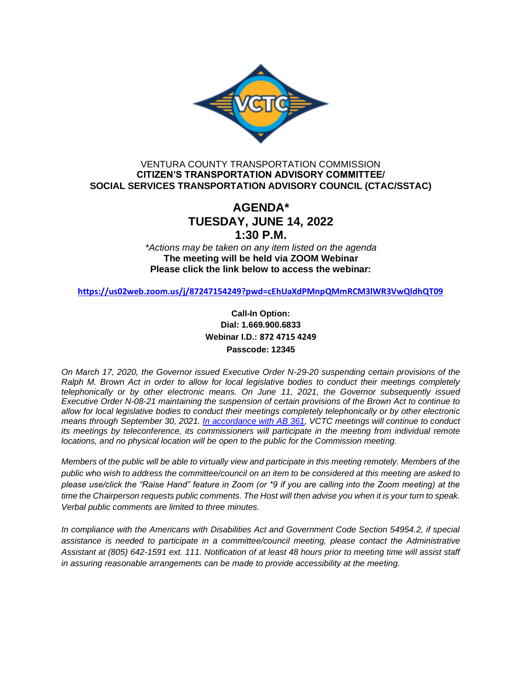

# VENTURA COUNTY TRANSPORTATION COMMISSION **CITIZEN'S TRANSPORTATION ADVISORY COMMITTEE/ SOCIAL SERVICES TRANSPORTATION ADVISORY COUNCIL (CTAC/SSTAC)**

# **AGENDA\* TUESDAY, JUNE 14, 2022 1:30 P.M.**

*\*Actions may be taken on any item listed on the agenda* **The meeting will be held via ZOOM Webinar Please click the link below to access the webinar:**

**<https://us02web.zoom.us/j/87247154249?pwd=cEhUaXdPMnpQMmRCM3lWR3VwQldhQT09>**

**Call-In Option: Dial: 1.669.900.6833 Webinar I.D.: 872 4715 4249 Passcode: 12345**

*On March 17, 2020, the Governor issued Executive Order N-29-20 suspending certain provisions of the Ralph M. Brown Act in order to allow for local legislative bodies to conduct their meetings completely telephonically or by other electronic means. On June 11, 2021, the Governor subsequently issued Executive Order N-08-21 maintaining the suspension of certain provisions of the Brown Act to continue to allow for local legislative bodies to conduct their meetings completely telephonically or by other electronic means through September 30, 2021. [In accordance with AB 361,](https://leginfo.legislature.ca.gov/faces/billTextClient.xhtml?bill_id=202120220AB361#:%7E:text=Assembly%20Bill%20No.%20361) VCTC meetings will continue to conduct its meetings by teleconference, its commissioners will participate in the meeting from individual remote locations, and no physical location will be open to the public for the Commission meeting.* 

*Members of the public will be able to virtually view and participate in this meeting remotely. Members of the public who wish to address the committee/council on an item to be considered at this meeting are asked to please use/click the "Raise Hand" feature in Zoom (or \*9 if you are calling into the Zoom meeting) at the time the Chairperson requests public comments. The Host will then advise you when it is your turn to speak. Verbal public comments are limited to three minutes.*

*In compliance with the Americans with Disabilities Act and Government Code Section 54954.2, if special assistance is needed to participate in a committee/council meeting, please contact the Administrative Assistant at (805) 642-1591 ext. 111. Notification of at least 48 hours prior to meeting time will assist staff in assuring reasonable arrangements can be made to provide accessibility at the meeting.*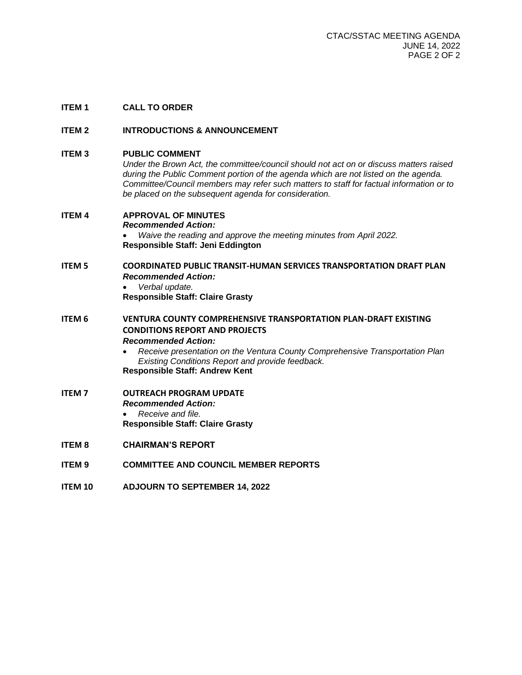# **ITEM 1 CALL TO ORDER**

### **ITEM 2 INTRODUCTIONS & ANNOUNCEMENT**

**ITEM 3 PUBLIC COMMENT**

*Under the Brown Act, the committee/council should not act on or discuss matters raised during the Public Comment portion of the agenda which are not listed on the agenda. Committee/Council members may refer such matters to staff for factual information or to be placed on the subsequent agenda for consideration.*

| <b>ITEM4</b>  | <b>APPROVAL OF MINUTES</b><br><b>Recommended Action:</b><br>Waive the reading and approve the meeting minutes from April 2022.<br>Responsible Staff: Jeni Eddington                                                                                                                                                              |
|---------------|----------------------------------------------------------------------------------------------------------------------------------------------------------------------------------------------------------------------------------------------------------------------------------------------------------------------------------|
| <b>ITEM 5</b> | <b>COORDINATED PUBLIC TRANSIT-HUMAN SERVICES TRANSPORTATION DRAFT PLAN</b><br><b>Recommended Action:</b><br>Verbal update.<br><b>Responsible Staff: Claire Grasty</b>                                                                                                                                                            |
| <b>ITEM 6</b> | VENTURA COUNTY COMPREHENSIVE TRANSPORTATION PLAN-DRAFT EXISTING<br><b>CONDITIONS REPORT AND PROJECTS</b><br><b>Recommended Action:</b><br>Receive presentation on the Ventura County Comprehensive Transportation Plan<br>$\bullet$<br>Existing Conditions Report and provide feedback.<br><b>Responsible Staff: Andrew Kent</b> |
| <b>ITEM7</b>  | <b>OUTREACH PROGRAM UPDATE</b><br><b>Recommended Action:</b><br>Receive and file.<br><b>Responsible Staff: Claire Grasty</b>                                                                                                                                                                                                     |
| <b>ITEM8</b>  | <b>CHAIRMAN'S REPORT</b>                                                                                                                                                                                                                                                                                                         |
| <b>ITEM9</b>  | <b>COMMITTEE AND COUNCIL MEMBER REPORTS</b>                                                                                                                                                                                                                                                                                      |

**ITEM 10 ADJOURN TO SEPTEMBER 14, 2022**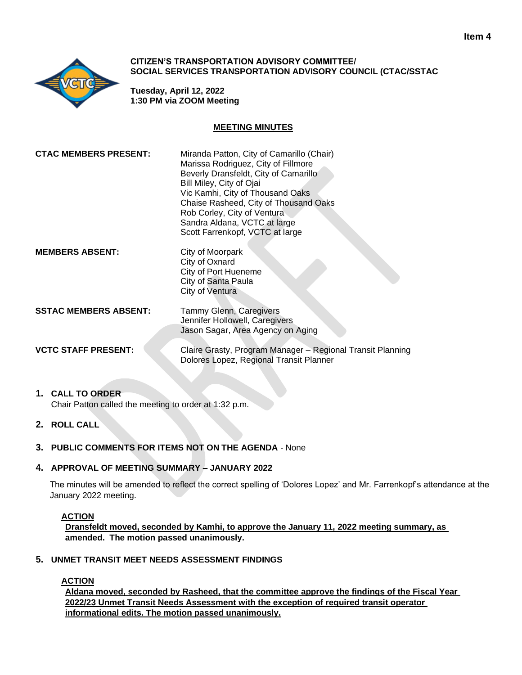

### **CITIZEN'S TRANSPORTATION ADVISORY COMMITTEE/ SOCIAL SERVICES TRANSPORTATION ADVISORY COUNCIL (CTAC/SSTAC**

**Tuesday, April 12, 2022 1:30 PM via ZOOM Meeting**

# **MEETING MINUTES**

| <b>CTAC MEMBERS PRESENT:</b> | Miranda Patton, City of Camarillo (Chair)<br>Marissa Rodriguez, City of Fillmore<br>Beverly Dransfeldt, City of Camarillo<br>Bill Miley, City of Ojai<br>Vic Kamhi, City of Thousand Oaks<br>Chaise Rasheed, City of Thousand Oaks<br>Rob Corley, City of Ventura<br>Sandra Aldana, VCTC at large<br>Scott Farrenkopf, VCTC at large |
|------------------------------|--------------------------------------------------------------------------------------------------------------------------------------------------------------------------------------------------------------------------------------------------------------------------------------------------------------------------------------|
| <b>MEMBERS ABSENT:</b>       | City of Moorpark<br>City of Oxnard<br>City of Port Hueneme<br>City of Santa Paula<br>City of Ventura                                                                                                                                                                                                                                 |
| <b>SSTAC MEMBERS ABSENT:</b> | Tammy Glenn, Caregivers<br>Jennifer Hollowell, Caregivers<br>Jason Sagar, Area Agency on Aging                                                                                                                                                                                                                                       |
| <b>VCTC STAFF PRESENT:</b>   | Claire Grasty, Program Manager - Regional Transit Planning<br>Dolores Lopez, Regional Transit Planner                                                                                                                                                                                                                                |

### **1. CALL TO ORDER** Chair Patton called the meeting to order at 1:32 p.m.

- **2. ROLL CALL**
- **3. PUBLIC COMMENTS FOR ITEMS NOT ON THE AGENDA**  None

# **4. APPROVAL OF MEETING SUMMARY – JANUARY 2022**

The minutes will be amended to reflect the correct spelling of 'Dolores Lopez' and Mr. Farrenkopf's attendance at the January 2022 meeting.

# **ACTION**

**Dransfeldt moved, seconded by Kamhi, to approve the January 11, 2022 meeting summary, as amended. The motion passed unanimously.**

# **5. UNMET TRANSIT MEET NEEDS ASSESSMENT FINDINGS**

# **ACTION**

**Aldana moved, seconded by Rasheed, that the committee approve the findings of the Fiscal Year 2022/23 Unmet Transit Needs Assessment with the exception of required transit operator informational edits. The motion passed unanimously.**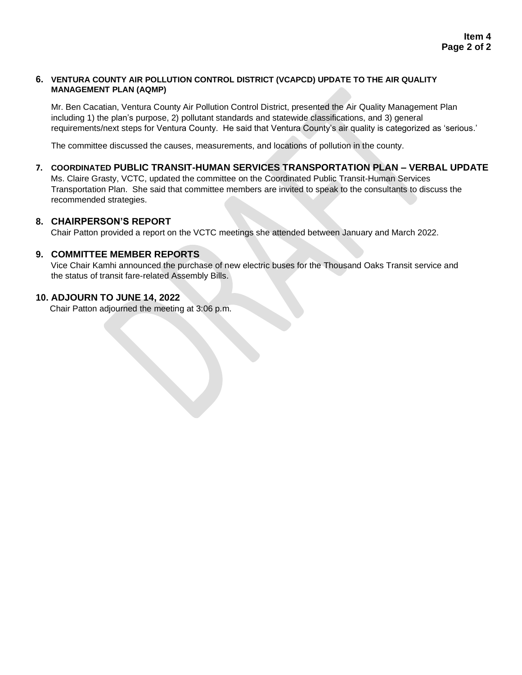# **6. VENTURA COUNTY AIR POLLUTION CONTROL DISTRICT (VCAPCD) UPDATE TO THE AIR QUALITY MANAGEMENT PLAN (AQMP)**

Mr. Ben Cacatian, Ventura County Air Pollution Control District, presented the Air Quality Management Plan including 1) the plan's purpose, 2) pollutant standards and statewide classifications, and 3) general requirements/next steps for Ventura County. He said that Ventura County's air quality is categorized as 'serious.'

The committee discussed the causes, measurements, and locations of pollution in the county.

# **7. COORDINATED PUBLIC TRANSIT-HUMAN SERVICES TRANSPORTATION PLAN – VERBAL UPDATE**

Ms. Claire Grasty, VCTC, updated the committee on the Coordinated Public Transit-Human Services Transportation Plan. She said that committee members are invited to speak to the consultants to discuss the recommended strategies.

# **8. CHAIRPERSON'S REPORT**

Chair Patton provided a report on the VCTC meetings she attended between January and March 2022.

# **9. COMMITTEE MEMBER REPORTS**

Vice Chair Kamhi announced the purchase of new electric buses for the Thousand Oaks Transit service and the status of transit fare-related Assembly Bills.

# **10. ADJOURN TO JUNE 14, 2022**

Chair Patton adjourned the meeting at 3:06 p.m.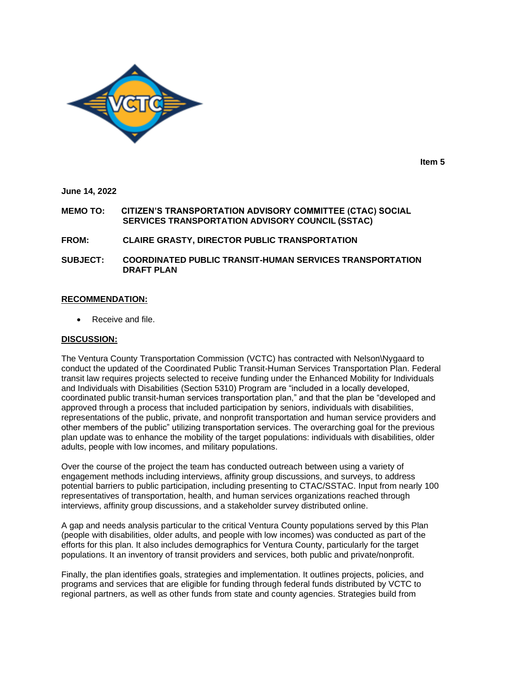

**Item 5**

**June 14, 2022**

**MEMO TO: CITIZEN'S TRANSPORTATION ADVISORY COMMITTEE (CTAC) SOCIAL SERVICES TRANSPORTATION ADVISORY COUNCIL (SSTAC)**

**FROM: CLAIRE GRASTY, DIRECTOR PUBLIC TRANSPORTATION**

**SUBJECT: COORDINATED PUBLIC TRANSIT-HUMAN SERVICES TRANSPORTATION DRAFT PLAN**

### **RECOMMENDATION:**

Receive and file.

#### **DISCUSSION:**

The Ventura County Transportation Commission (VCTC) has contracted with Nelson\Nygaard to conduct the updated of the Coordinated Public Transit-Human Services Transportation Plan. Federal transit law requires projects selected to receive funding under the Enhanced Mobility for Individuals and Individuals with Disabilities (Section 5310) Program are "included in a locally developed, coordinated public transit-human services transportation plan," and that the plan be "developed and approved through a process that included participation by seniors, individuals with disabilities, representations of the public, private, and nonprofit transportation and human service providers and other members of the public" utilizing transportation services. The overarching goal for the previous plan update was to enhance the mobility of the target populations: individuals with disabilities, older adults, people with low incomes, and military populations.

Over the course of the project the team has conducted outreach between using a variety of engagement methods including interviews, affinity group discussions, and surveys, to address potential barriers to public participation, including presenting to CTAC/SSTAC. Input from nearly 100 representatives of transportation, health, and human services organizations reached through interviews, affinity group discussions, and a stakeholder survey distributed online.

A gap and needs analysis particular to the critical Ventura County populations served by this Plan (people with disabilities, older adults, and people with low incomes) was conducted as part of the efforts for this plan. It also includes demographics for Ventura County, particularly for the target populations. It an inventory of transit providers and services, both public and private/nonprofit.

Finally, the plan identifies goals, strategies and implementation. It outlines projects, policies, and programs and services that are eligible for funding through federal funds distributed by VCTC to regional partners, as well as other funds from state and county agencies. Strategies build from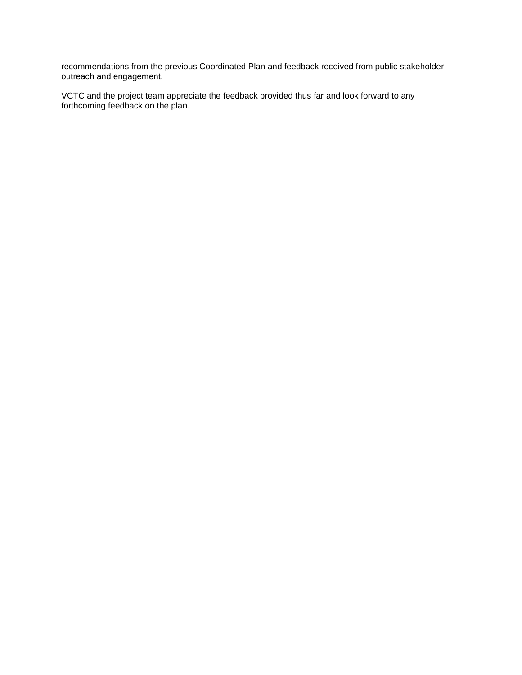recommendations from the previous Coordinated Plan and feedback received from public stakeholder outreach and engagement.

VCTC and the project team appreciate the feedback provided thus far and look forward to any forthcoming feedback on the plan.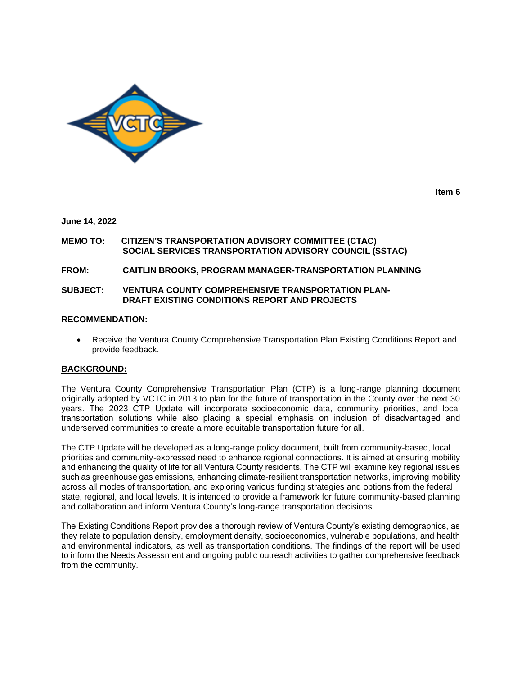

**Item 6**

#### **June 14, 2022**

#### **MEMO TO: CITIZEN'S TRANSPORTATION ADVISORY COMMITTEE (CTAC) SOCIAL SERVICES TRANSPORTATION ADVISORY COUNCIL (SSTAC)**

#### **FROM: CAITLIN BROOKS, PROGRAM MANAGER-TRANSPORTATION PLANNING**

#### **SUBJECT: VENTURA COUNTY COMPREHENSIVE TRANSPORTATION PLAN-DRAFT EXISTING CONDITIONS REPORT AND PROJECTS**

#### **RECOMMENDATION:**

• Receive the Ventura County Comprehensive Transportation Plan Existing Conditions Report and provide feedback.

#### **BACKGROUND:**

The Ventura County Comprehensive Transportation Plan (CTP) is a long-range planning document originally adopted by VCTC in 2013 to plan for the future of transportation in the County over the next 30 years. The 2023 CTP Update will incorporate socioeconomic data, community priorities, and local transportation solutions while also placing a special emphasis on inclusion of disadvantaged and underserved communities to create a more equitable transportation future for all.

The CTP Update will be developed as a long-range policy document, built from community-based, local priorities and community-expressed need to enhance regional connections. It is aimed at ensuring mobility and enhancing the quality of life for all Ventura County residents. The CTP will examine key regional issues such as greenhouse gas emissions, enhancing climate-resilient transportation networks, improving mobility across all modes of transportation, and exploring various funding strategies and options from the federal, state, regional, and local levels. It is intended to provide a framework for future community-based planning and collaboration and inform Ventura County's long-range transportation decisions.

The Existing Conditions Report provides a thorough review of Ventura County's existing demographics, as they relate to population density, employment density, socioeconomics, vulnerable populations, and health and environmental indicators, as well as transportation conditions. The findings of the report will be used to inform the Needs Assessment and ongoing public outreach activities to gather comprehensive feedback from the community.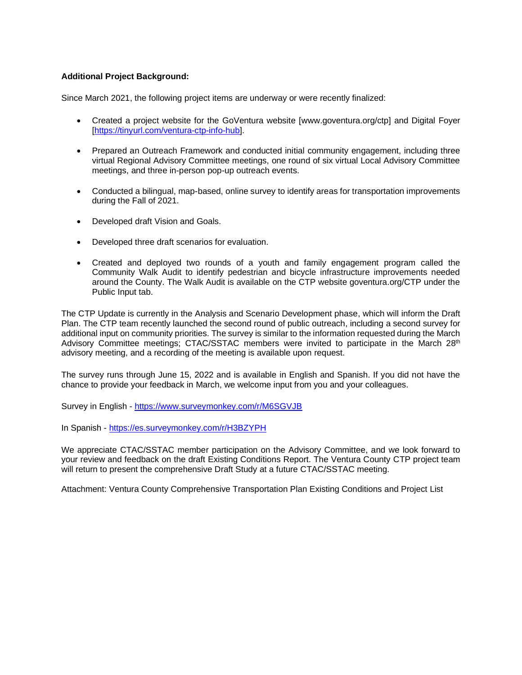### **Additional Project Background:**

Since March 2021, the following project items are underway or were recently finalized:

- Created a project website for the GoVentura website [www.goventura.org/ctp] and Digital Foyer [\[https://tinyurl.com/ventura-ctp-info-hub\]](https://tinyurl.com/ventura-ctp-info-hub).
- Prepared an Outreach Framework and conducted initial community engagement, including three virtual Regional Advisory Committee meetings, one round of six virtual Local Advisory Committee meetings, and three in-person pop-up outreach events.
- Conducted a bilingual, map-based, online survey to identify areas for transportation improvements during the Fall of 2021.
- Developed draft Vision and Goals.
- Developed three draft scenarios for evaluation.
- Created and deployed two rounds of a youth and family engagement program called the Community Walk Audit to identify pedestrian and bicycle infrastructure improvements needed around the County. The Walk Audit is available on the CTP website goventura.org/CTP under the Public Input tab.

The CTP Update is currently in the Analysis and Scenario Development phase, which will inform the Draft Plan. The CTP team recently launched the second round of public outreach, including a second survey for additional input on community priorities. The survey is similar to the information requested during the March Advisory Committee meetings; CTAC/SSTAC members were invited to participate in the March 28<sup>th</sup> advisory meeting, and a recording of the meeting is available upon request.

The survey runs through June 15, 2022 and is available in English and Spanish. If you did not have the chance to provide your feedback in March, we welcome input from you and your colleagues.

Survey in English - <https://www.surveymonkey.com/r/M6SGVJB>

In Spanish - <https://es.surveymonkey.com/r/H3BZYPH>

We appreciate CTAC/SSTAC member participation on the Advisory Committee, and we look forward to your review and feedback on the draft Existing Conditions Report. The Ventura County CTP project team will return to present the comprehensive Draft Study at a future CTAC/SSTAC meeting.

Attachment: Ventura County Comprehensive Transportation Plan Existing Conditions and Project List